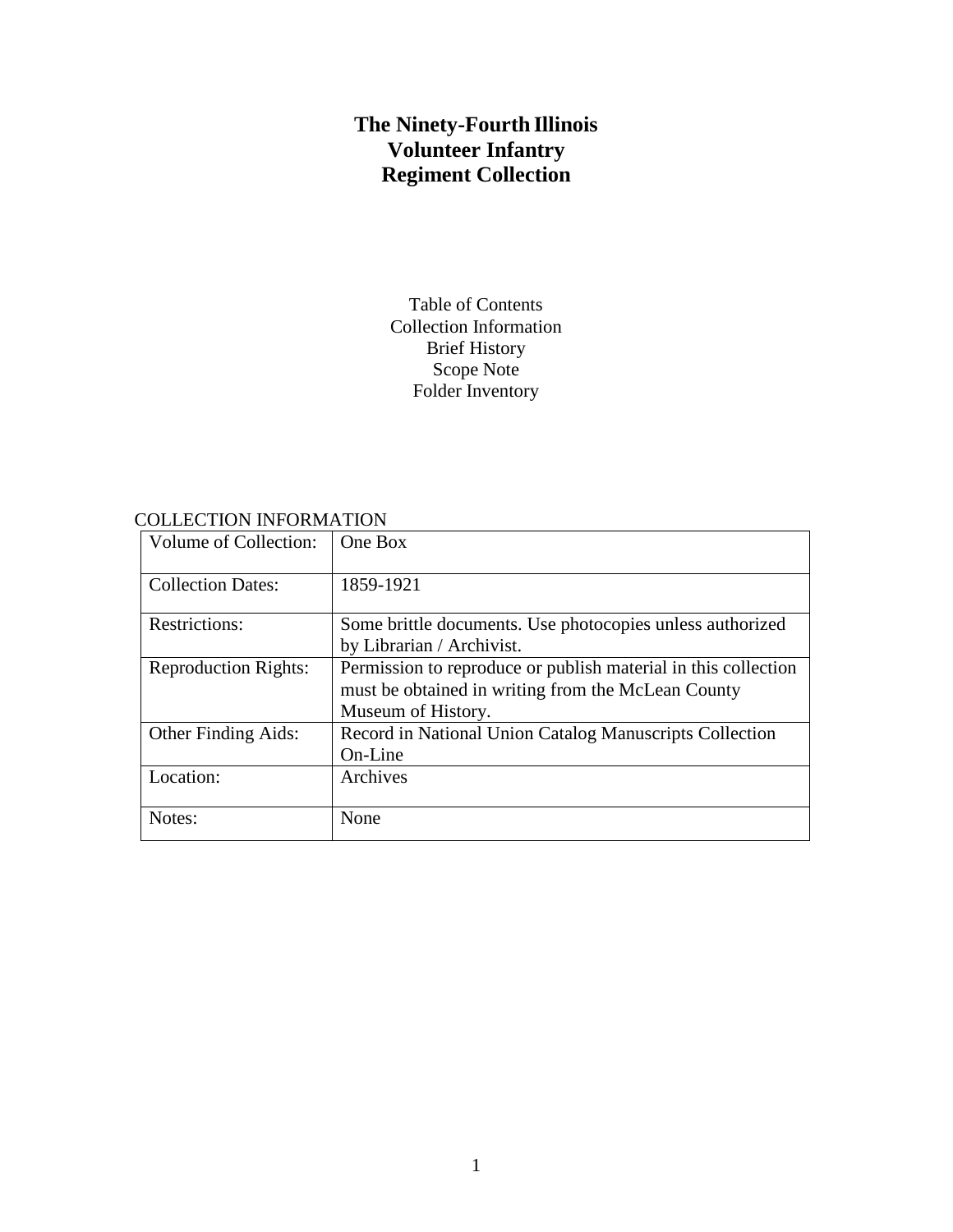# **The Ninety-Fourth Illinois Volunteer Infantry Regiment Collection**

Table of Contents Collection Information Brief History Scope Note Folder Inventory

COLLECTION INFORMATION

| Volume of Collection:       | One Box                                                                                                                                    |
|-----------------------------|--------------------------------------------------------------------------------------------------------------------------------------------|
| <b>Collection Dates:</b>    | 1859-1921                                                                                                                                  |
| <b>Restrictions:</b>        | Some brittle documents. Use photocopies unless authorized<br>by Librarian / Archivist.                                                     |
| <b>Reproduction Rights:</b> | Permission to reproduce or publish material in this collection<br>must be obtained in writing from the McLean County<br>Museum of History. |
| <b>Other Finding Aids:</b>  | Record in National Union Catalog Manuscripts Collection<br>On-Line                                                                         |
| Location:                   | Archives                                                                                                                                   |
| Notes:                      | None                                                                                                                                       |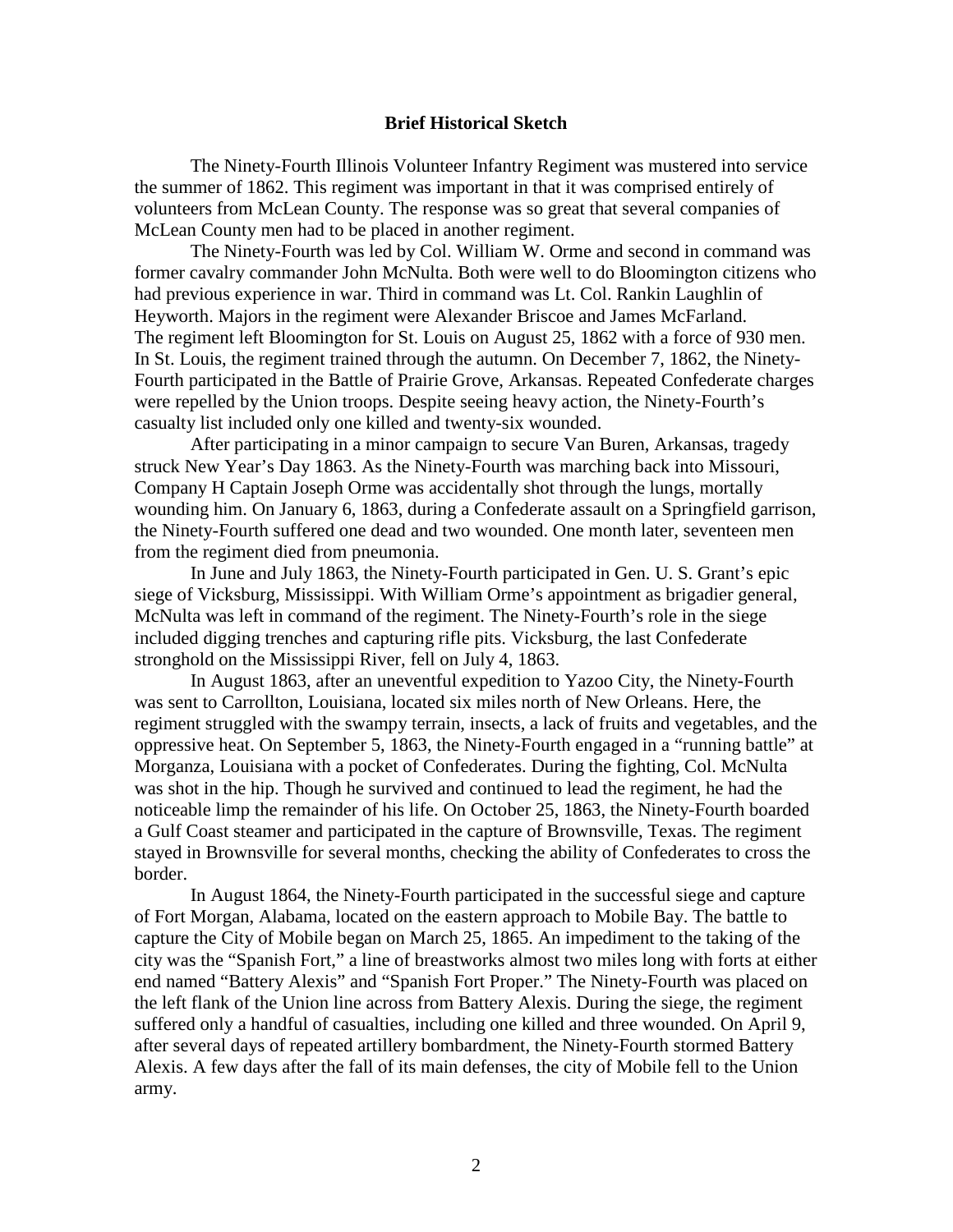#### **Brief Historical Sketch**

The Ninety-Fourth Illinois Volunteer Infantry Regiment was mustered into service the summer of 1862. This regiment was important in that it was comprised entirely of volunteers from McLean County. The response was so great that several companies of McLean County men had to be placed in another regiment.

The Ninety-Fourth was led by Col. William W. Orme and second in command was former cavalry commander John McNulta. Both were well to do Bloomington citizens who had previous experience in war. Third in command was Lt. Col. Rankin Laughlin of Heyworth. Majors in the regiment were Alexander Briscoe and James McFarland. The regiment left Bloomington for St. Louis on August 25, 1862 with a force of 930 men. In St. Louis, the regiment trained through the autumn. On December 7, 1862, the Ninety-Fourth participated in the Battle of Prairie Grove, Arkansas. Repeated Confederate charges were repelled by the Union troops. Despite seeing heavy action, the Ninety-Fourth's casualty list included only one killed and twenty-six wounded.

After participating in a minor campaign to secure Van Buren, Arkansas, tragedy struck New Year's Day 1863. As the Ninety-Fourth was marching back into Missouri, Company H Captain Joseph Orme was accidentally shot through the lungs, mortally wounding him. On January 6, 1863, during a Confederate assault on a Springfield garrison, the Ninety-Fourth suffered one dead and two wounded. One month later, seventeen men from the regiment died from pneumonia.

In June and July 1863, the Ninety-Fourth participated in Gen. U. S. Grant's epic siege of Vicksburg, Mississippi. With William Orme's appointment as brigadier general, McNulta was left in command of the regiment. The Ninety-Fourth's role in the siege included digging trenches and capturing rifle pits. Vicksburg, the last Confederate stronghold on the Mississippi River, fell on July 4, 1863.

In August 1863, after an uneventful expedition to Yazoo City, the Ninety-Fourth was sent to Carrollton, Louisiana, located six miles north of New Orleans. Here, the regiment struggled with the swampy terrain, insects, a lack of fruits and vegetables, and the oppressive heat. On September 5, 1863, the Ninety-Fourth engaged in a "running battle" at Morganza, Louisiana with a pocket of Confederates. During the fighting, Col. McNulta was shot in the hip. Though he survived and continued to lead the regiment, he had the noticeable limp the remainder of his life. On October 25, 1863, the Ninety-Fourth boarded a Gulf Coast steamer and participated in the capture of Brownsville, Texas. The regiment stayed in Brownsville for several months, checking the ability of Confederates to cross the border.

In August 1864, the Ninety-Fourth participated in the successful siege and capture of Fort Morgan, Alabama, located on the eastern approach to Mobile Bay. The battle to capture the City of Mobile began on March 25, 1865. An impediment to the taking of the city was the "Spanish Fort," a line of breastworks almost two miles long with forts at either end named "Battery Alexis" and "Spanish Fort Proper." The Ninety-Fourth was placed on the left flank of the Union line across from Battery Alexis. During the siege, the regiment suffered only a handful of casualties, including one killed and three wounded. On April 9, after several days of repeated artillery bombardment, the Ninety-Fourth stormed Battery Alexis. A few days after the fall of its main defenses, the city of Mobile fell to the Union army.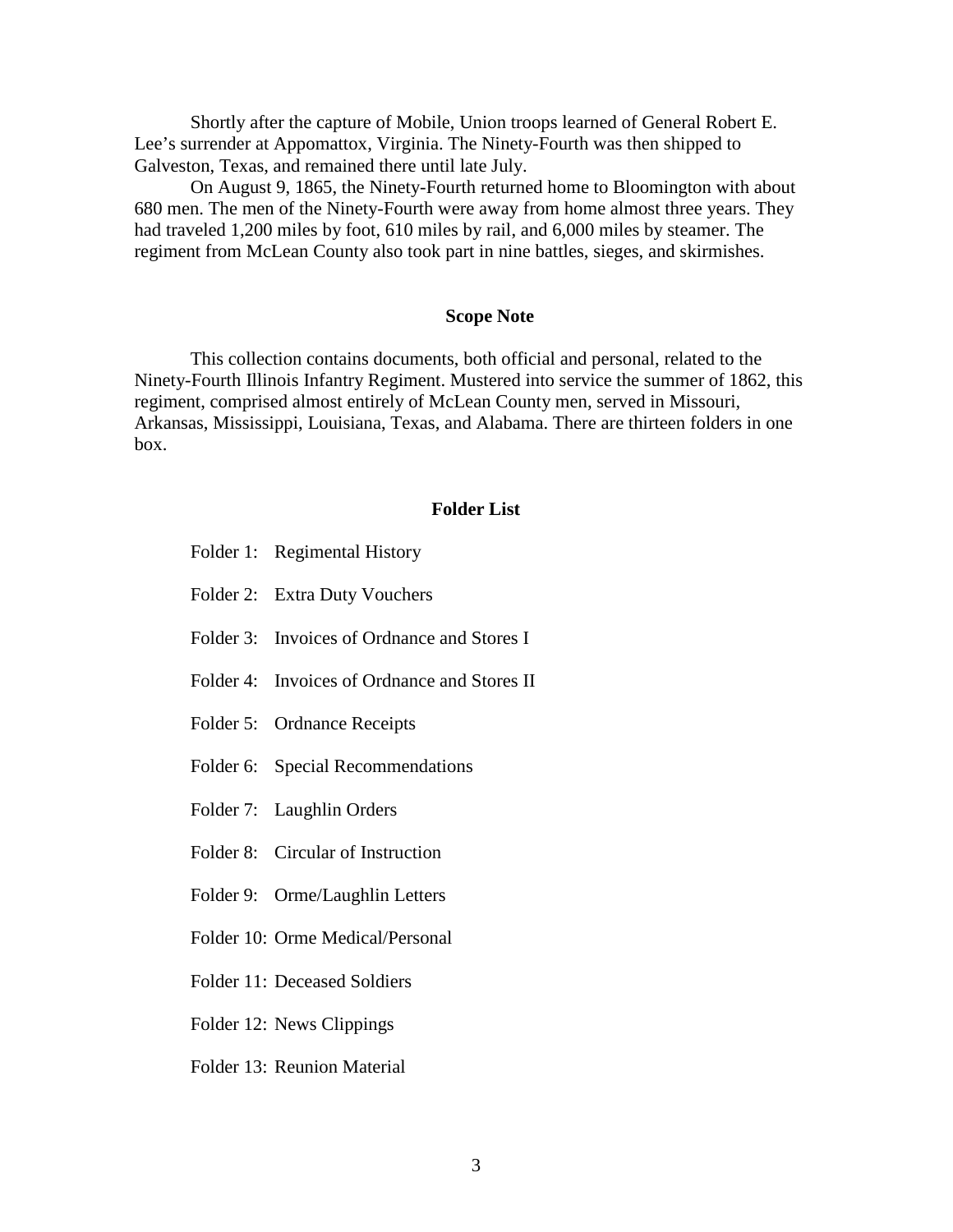Shortly after the capture of Mobile, Union troops learned of General Robert E. Lee's surrender at Appomattox, Virginia. The Ninety-Fourth was then shipped to Galveston, Texas, and remained there until late July.

On August 9, 1865, the Ninety-Fourth returned home to Bloomington with about 680 men. The men of the Ninety-Fourth were away from home almost three years. They had traveled 1,200 miles by foot, 610 miles by rail, and 6,000 miles by steamer. The regiment from McLean County also took part in nine battles, sieges, and skirmishes.

#### **Scope Note**

This collection contains documents, both official and personal, related to the Ninety-Fourth Illinois Infantry Regiment. Mustered into service the summer of 1862, this regiment, comprised almost entirely of McLean County men, served in Missouri, Arkansas, Mississippi, Louisiana, Texas, and Alabama. There are thirteen folders in one box.

#### **Folder List**

- Folder 1: Regimental History
- Folder 2: Extra Duty Vouchers
- Folder 3: Invoices of Ordnance and Stores I
- Folder 4: Invoices of Ordnance and Stores II
- Folder 5: Ordnance Receipts
- Folder 6: Special Recommendations
- Folder 7: Laughlin Orders
- Folder 8: Circular of Instruction
- Folder 9: Orme/Laughlin Letters
- Folder 10: Orme Medical/Personal
- Folder 11: Deceased Soldiers
- Folder 12: News Clippings
- Folder 13: Reunion Material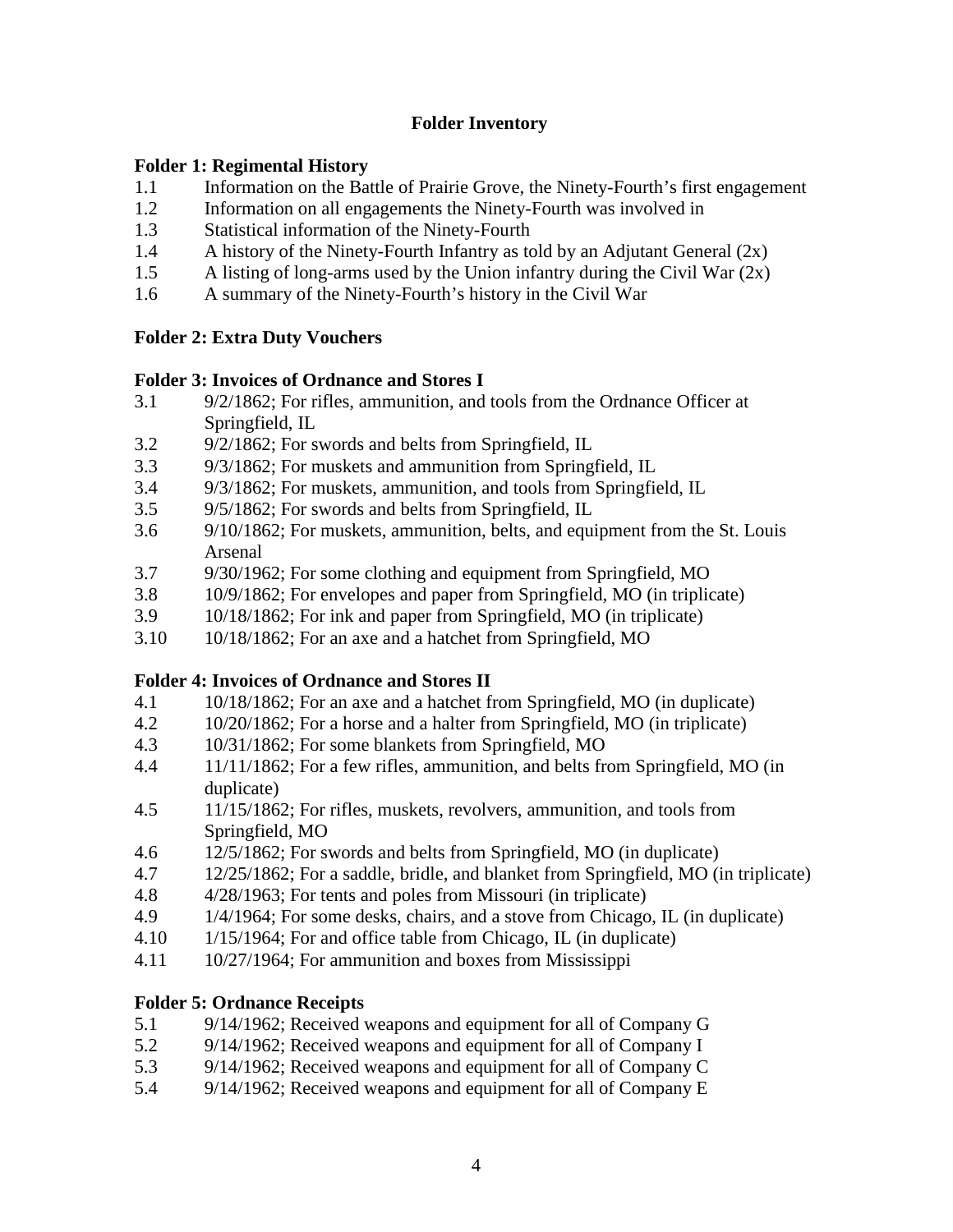#### **Folder Inventory**

#### **Folder 1: Regimental History**

- 1.1 Information on the Battle of Prairie Grove, the Ninety-Fourth's first engagement
- 1.2 Information on all engagements the Ninety-Fourth was involved in
- 1.3 Statistical information of the Ninety-Fourth
- 1.4 A history of the Ninety-Fourth Infantry as told by an Adjutant General (2x)
- 1.5 A listing of long-arms used by the Union infantry during the Civil War (2x)
- 1.6 A summary of the Ninety-Fourth's history in the Civil War

## **Folder 2: Extra Duty Vouchers**

#### **Folder 3: Invoices of Ordnance and Stores I**

- 3.1 9/2/1862; For rifles, ammunition, and tools from the Ordnance Officer at Springfield, IL
- 3.2 9/2/1862; For swords and belts from Springfield, IL
- 3.3 9/3/1862; For muskets and ammunition from Springfield, IL
- 3.4 9/3/1862; For muskets, ammunition, and tools from Springfield, IL
- 3.5 9/5/1862; For swords and belts from Springfield, IL
- 3.6 9/10/1862; For muskets, ammunition, belts, and equipment from the St. Louis Arsenal
- 3.7 9/30/1962; For some clothing and equipment from Springfield, MO
- 3.8 10/9/1862; For envelopes and paper from Springfield, MO (in triplicate)
- 3.9 10/18/1862; For ink and paper from Springfield, MO (in triplicate)
- 3.10 10/18/1862; For an axe and a hatchet from Springfield, MO

## **Folder 4: Invoices of Ordnance and Stores II**

- 4.1 10/18/1862; For an axe and a hatchet from Springfield, MO (in duplicate)
- 4.2 10/20/1862; For a horse and a halter from Springfield, MO (in triplicate)
- 4.3 10/31/1862; For some blankets from Springfield, MO
- 4.4 11/11/1862; For a few rifles, ammunition, and belts from Springfield, MO (in duplicate)
- 4.5 11/15/1862; For rifles, muskets, revolvers, ammunition, and tools from Springfield, MO
- 4.6 12/5/1862; For swords and belts from Springfield, MO (in duplicate)
- 4.7 12/25/1862; For a saddle, bridle, and blanket from Springfield, MO (in triplicate)
- 4.8 4/28/1963; For tents and poles from Missouri (in triplicate)
- 4.9 1/4/1964; For some desks, chairs, and a stove from Chicago, IL (in duplicate)
- 4.10 1/15/1964; For and office table from Chicago, IL (in duplicate)
- 4.11 10/27/1964; For ammunition and boxes from Mississippi

## **Folder 5: Ordnance Receipts**

- 5.1 9/14/1962; Received weapons and equipment for all of Company G
- 5.2 9/14/1962; Received weapons and equipment for all of Company I
- 5.3 9/14/1962; Received weapons and equipment for all of Company C
- 5.4 9/14/1962; Received weapons and equipment for all of Company E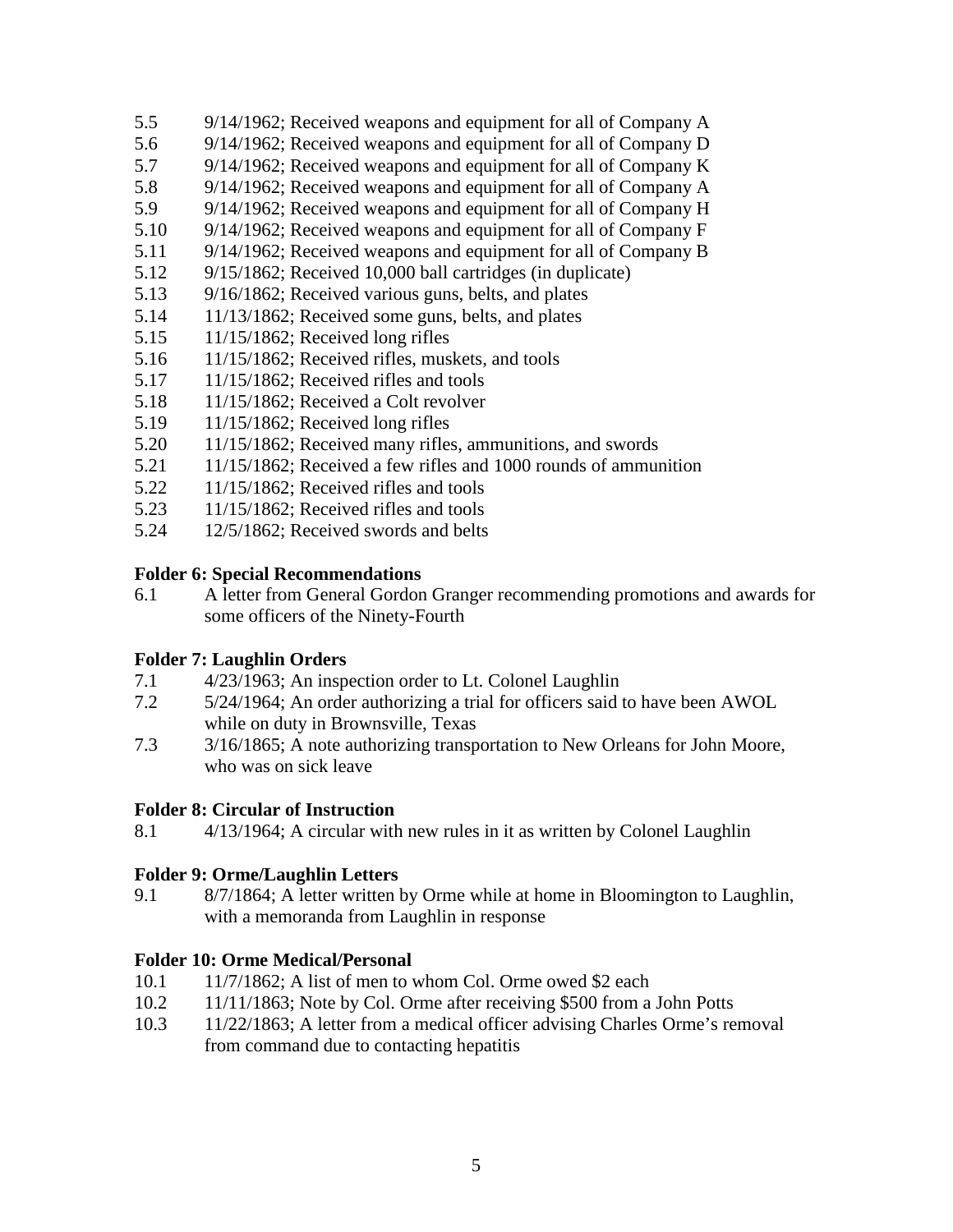- 5.5 9/14/1962; Received weapons and equipment for all of Company A
- 5.6 9/14/1962; Received weapons and equipment for all of Company D
- 5.7 9/14/1962; Received weapons and equipment for all of Company K
- 5.8 9/14/1962; Received weapons and equipment for all of Company A
- 5.9 9/14/1962; Received weapons and equipment for all of Company H<br>5.10 9/14/1962; Received weapons and equipment for all of Company F
- 9/14/1962; Received weapons and equipment for all of Company F
- 5.11 9/14/1962; Received weapons and equipment for all of Company B
- 5.12 9/15/1862; Received 10,000 ball cartridges (in duplicate)
- 5.13 9/16/1862; Received various guns, belts, and plates
- 5.14 11/13/1862; Received some guns, belts, and plates<br>5.15 11/15/1862: Received long rifles
- 5.15 11/15/1862; Received long rifles
- 5.16 11/15/1862; Received rifles, muskets, and tools
- 5.17 11/15/1862; Received rifles and tools
- 5.18 11/15/1862; Received a Colt revolver<br>5.19 11/15/1862; Received long rifles
- 5.19 11/15/1862; Received long rifles
- 5.20 11/15/1862; Received many rifles, ammunitions, and swords
- 5.21 11/15/1862; Received a few rifles and 1000 rounds of ammunition
- 5.22 11/15/1862; Received rifles and tools
- 5.23 11/15/1862; Received rifles and tools
- 5.24 12/5/1862; Received swords and belts

## **Folder 6: Special Recommendations**

6.1 A letter from General Gordon Granger recommending promotions and awards for some officers of the Ninety-Fourth

# **Folder 7: Laughlin Orders**

- 7.1 4/23/1963; An inspection order to Lt. Colonel Laughlin
- 7.2 5/24/1964; An order authorizing a trial for officers said to have been AWOL while on duty in Brownsville, Texas
- 7.3 3/16/1865; A note authorizing transportation to New Orleans for John Moore, who was on sick leave

# **Folder 8: Circular of Instruction**

8.1 4/13/1964; A circular with new rules in it as written by Colonel Laughlin

# **Folder 9: Orme/Laughlin Letters**

9.1 8/7/1864; A letter written by Orme while at home in Bloomington to Laughlin, with a memoranda from Laughlin in response

# **Folder 10: Orme Medical/Personal**

- 10.1 11/7/1862; A list of men to whom Col. Orme owed \$2 each
- 10.2 11/11/1863; Note by Col. Orme after receiving \$500 from a John Potts
- 10.3 11/22/1863; A letter from a medical officer advising Charles Orme's removal from command due to contacting hepatitis